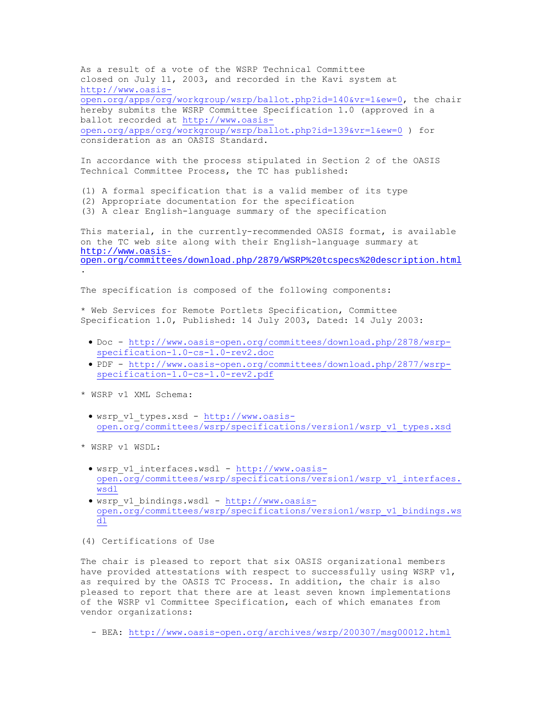As a result of a vote of the WSRP Technical Committee closed on July 11, 2003, and recorded in the Kavi system at http://www.oasisopen.org/apps/org/workgroup/wsrp/ballot.php?id=140&vr=1&ew=0, the chair hereby submits the WSRP Committee Specification 1.0 (approved in a ballot recorded at http://www.oasisopen.org/apps/org/workgroup/wsrp/ballot.php?id=139&vr=1&ew=0 ) for consideration as an OASIS Standard.

In accordance with the process stipulated in Section 2 of the OASIS Technical Committee Process, the TC has published:

- (1) A formal specification that is a valid member of its type
- (2) Appropriate documentation for the specification
- (3) A clear English-language summary of the specification

This material, in the currently-recommended OASIS format, is available on the TC web site along with their English-language summary at http://www.oasisopen.org/committees/download.php/2879/WSRP%20tcspecs%20description.html .

The specification is composed of the following components:

\* Web Services for Remote Portlets Specification, Committee Specification 1.0, Published: 14 July 2003, Dated: 14 July 2003:

- Doc http://www.oasis-open.org/committees/download.php/2878/wsrpspecification-1.0-cs-1.0-rev2.doc
- PDF http://www.oasis-open.org/committees/download.php/2877/wsrpspecification-1.0-cs-1.0-rev2.pdf
- \* WSRP v1 XML Schema:
- wsrp\_v1\_types.xsd http://www.oasisopen.org/committees/wsrp/specifications/version1/wsrp\_v1\_types.xsd
- \* WSRP v1 WSDL:
	- wsrp\_v1\_interfaces.wsdl http://www.oasisopen.org/committees/wsrp/specifications/version1/wsrp\_v1\_interfaces. wsdl
	- wsrp v1 bindings.wsdl http://www.oasisopen.org/committees/wsrp/specifications/version1/wsrp\_v1\_bindings.ws dl
- (4) Certifications of Use

The chair is pleased to report that six OASIS organizational members have provided attestations with respect to successfully using WSRP  $v1$ , as required by the OASIS TC Process. In addition, the chair is also pleased to report that there are at least seven known implementations of the WSRP v1 Committee Specification, each of which emanates from vendor organizations:

- BEA: http://www.oasis-open.org/archives/wsrp/200307/msg00012.html